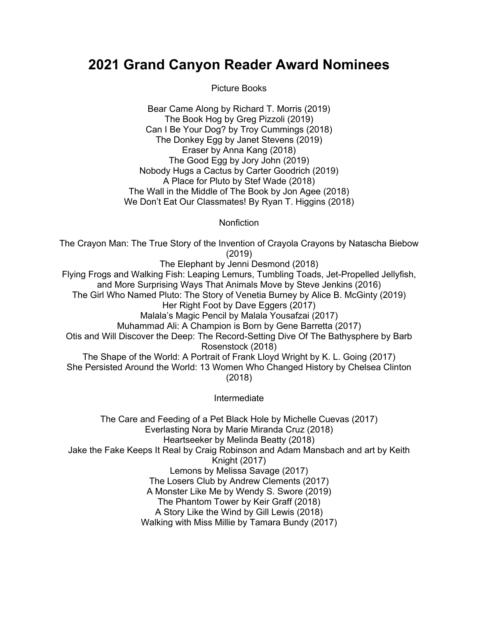## **2021 Grand Canyon Reader Award Nominees**

Picture Books

Bear Came Along by Richard T. Morris (2019) The Book Hog by Greg Pizzoli (2019) Can I Be Your Dog? by Troy Cummings (2018) The Donkey Egg by Janet Stevens (2019) Eraser by Anna Kang (2018) The Good Egg by Jory John (2019) Nobody Hugs a Cactus by Carter Goodrich (2019) A Place for Pluto by Stef Wade (2018) The Wall in the Middle of The Book by Jon Agee (2018) We Don't Eat Our Classmates! By Ryan T. Higgins (2018)

**Nonfiction** 

The Crayon Man: The True Story of the Invention of Crayola Crayons by Natascha Biebow (2019) The Elephant by Jenni Desmond (2018) Flying Frogs and Walking Fish: Leaping Lemurs, Tumbling Toads, Jet-Propelled Jellyfish, and More Surprising Ways That Animals Move by Steve Jenkins (2016) The Girl Who Named Pluto: The Story of Venetia Burney by Alice B. McGinty (2019) Her Right Foot by Dave Eggers (2017) Malala's Magic Pencil by Malala Yousafzai (2017) Muhammad Ali: A Champion is Born by Gene Barretta (2017) Otis and Will Discover the Deep: The Record-Setting Dive Of The Bathysphere by Barb Rosenstock (2018) The Shape of the World: A Portrait of Frank Lloyd Wright by K. L. Going (2017) She Persisted Around the World: 13 Women Who Changed History by Chelsea Clinton (2018)

Intermediate

The Care and Feeding of a Pet Black Hole by Michelle Cuevas (2017) Everlasting Nora by Marie Miranda Cruz (2018) Heartseeker by Melinda Beatty (2018) Jake the Fake Keeps It Real by Craig Robinson and Adam Mansbach and art by Keith Knight (2017) Lemons by Melissa Savage (2017) The Losers Club by Andrew Clements (2017) A Monster Like Me by Wendy S. Swore (2019) The Phantom Tower by Keir Graff (2018) A Story Like the Wind by Gill Lewis (2018) Walking with Miss Millie by Tamara Bundy (2017)